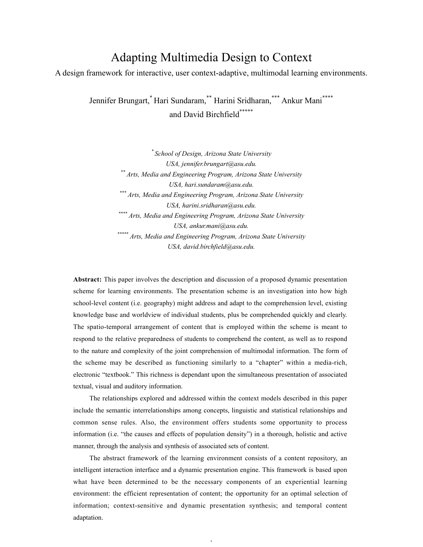# Adapting Multimedia Design to Context

A design framework for interactive, user context-adaptive, multimodal learning environments.

Jennifer Brungart,\* Hari Sundaram,\*\* Harini Sridharan,\*\*\* Ankur Mani\*\*\*\* and David Birchfield\*\*\*\*\*

> *\* School of Design, Arizona State University USA, jennifer.brungart@asu.edu. \*\* Arts, Media and Engineering Program, Arizona State University USA, hari.sundaram@asu.edu. \*\*\* Arts, Media and Engineering Program, Arizona State University USA, harini.sridharan@asu.edu. \*\*\*\* Arts, Media and Engineering Program, Arizona State University USA, ankur.mani@asu.edu. \*\*\*\*\* Arts, Media and Engineering Program, Arizona State University USA, david.birchfield@asu.edu.*

**Abstract:** This paper involves the description and discussion of a proposed dynamic presentation scheme for learning environments. The presentation scheme is an investigation into how high school-level content (i.e. geography) might address and adapt to the comprehension level, existing knowledge base and worldview of individual students, plus be comprehended quickly and clearly. The spatio-temporal arrangement of content that is employed within the scheme is meant to respond to the relative preparedness of students to comprehend the content, as well as to respond to the nature and complexity of the joint comprehension of multimodal information. The form of the scheme may be described as functioning similarly to a "chapter" within a media-rich, electronic "textbook." This richness is dependant upon the simultaneous presentation of associated textual, visual and auditory information.

The relationships explored and addressed within the context models described in this paper include the semantic interrelationships among concepts, linguistic and statistical relationships and common sense rules. Also, the environment offers students some opportunity to process information (i.e. "the causes and effects of population density") in a thorough, holistic and active manner, through the analysis and synthesis of associated sets of content.

The abstract framework of the learning environment consists of a content repository, an intelligent interaction interface and a dynamic presentation engine. This framework is based upon what have been determined to be the necessary components of an experiential learning environment: the efficient representation of content; the opportunity for an optimal selection of information; context-sensitive and dynamic presentation synthesis; and temporal content adaptation.

 $\ddot{\phantom{1}}$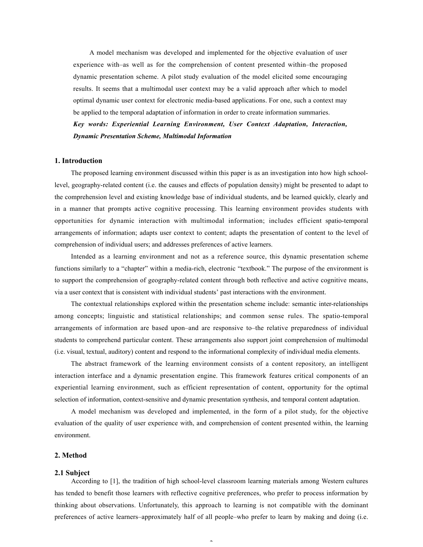A model mechanism was developed and implemented for the objective evaluation of user experience with–as well as for the comprehension of content presented within–the proposed dynamic presentation scheme. A pilot study evaluation of the model elicited some encouraging results. It seems that a multimodal user context may be a valid approach after which to model optimal dynamic user context for electronic media-based applications. For one, such a context may be applied to the temporal adaptation of information in order to create information summaries. *Key words: Experiential Learning Environment, User Context Adaptation, Interaction, Dynamic Presentation Scheme, Multimodal Information*

## **1. Introduction**

The proposed learning environment discussed within this paper is as an investigation into how high schoollevel, geography-related content (i.e. the causes and effects of population density) might be presented to adapt to the comprehension level and existing knowledge base of individual students, and be learned quickly, clearly and in a manner that prompts active cognitive processing. This learning environment provides students with opportunities for dynamic interaction with multimodal information; includes efficient spatio-temporal arrangements of information; adapts user context to content; adapts the presentation of content to the level of comprehension of individual users; and addresses preferences of active learners.

Intended as a learning environment and not as a reference source, this dynamic presentation scheme functions similarly to a "chapter" within a media-rich, electronic "textbook." The purpose of the environment is to support the comprehension of geography-related content through both reflective and active cognitive means, via a user context that is consistent with individual students' past interactions with the environment.

The contextual relationships explored within the presentation scheme include: semantic inter-relationships among concepts; linguistic and statistical relationships; and common sense rules. The spatio-temporal arrangements of information are based upon–and are responsive to–the relative preparedness of individual students to comprehend particular content. These arrangements also support joint comprehension of multimodal (i.e. visual, textual, auditory) content and respond to the informational complexity of individual media elements.

The abstract framework of the learning environment consists of a content repository, an intelligent interaction interface and a dynamic presentation engine. This framework features critical components of an experiential learning environment, such as efficient representation of content, opportunity for the optimal selection of information, context-sensitive and dynamic presentation synthesis, and temporal content adaptation.

A model mechanism was developed and implemented, in the form of a pilot study, for the objective evaluation of the quality of user experience with, and comprehension of content presented within, the learning environment.

## **2. Method**

#### **2.1 Subject**

According to [1], the tradition of high school-level classroom learning materials among Western cultures has tended to benefit those learners with reflective cognitive preferences, who prefer to process information by thinking about observations. Unfortunately, this approach to learning is not compatible with the dominant preferences of active learners–approximately half of all people–who prefer to learn by making and doing (i.e.

 $\overline{a}$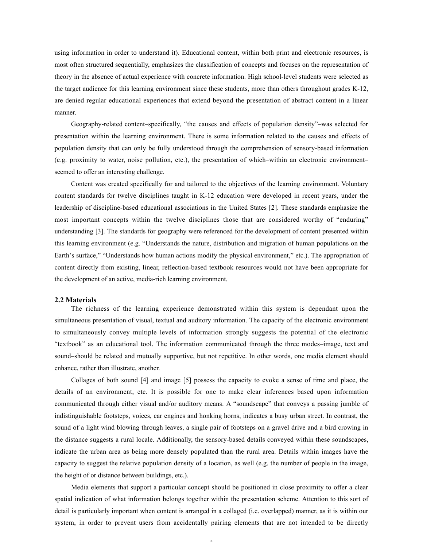using information in order to understand it). Educational content, within both print and electronic resources, is most often structured sequentially, emphasizes the classification of concepts and focuses on the representation of theory in the absence of actual experience with concrete information. High school-level students were selected as the target audience for this learning environment since these students, more than others throughout grades K-12, are denied regular educational experiences that extend beyond the presentation of abstract content in a linear manner.

Geography-related content–specifically, "the causes and effects of population density"–was selected for presentation within the learning environment. There is some information related to the causes and effects of population density that can only be fully understood through the comprehension of sensory-based information (e.g. proximity to water, noise pollution, etc.), the presentation of which–within an electronic environment– seemed to offer an interesting challenge.

Content was created specifically for and tailored to the objectives of the learning environment. Voluntary content standards for twelve disciplines taught in K-12 education were developed in recent years, under the leadership of discipline-based educational associations in the United States [2]. These standards emphasize the most important concepts within the twelve disciplines–those that are considered worthy of "enduring" understanding [3]. The standards for geography were referenced for the development of content presented within this learning environment (e.g. "Understands the nature, distribution and migration of human populations on the Earth's surface," "Understands how human actions modify the physical environment," etc.). The appropriation of content directly from existing, linear, reflection-based textbook resources would not have been appropriate for the development of an active, media-rich learning environment.

## **2.2 Materials**

The richness of the learning experience demonstrated within this system is dependant upon the simultaneous presentation of visual, textual and auditory information. The capacity of the electronic environment to simultaneously convey multiple levels of information strongly suggests the potential of the electronic "textbook" as an educational tool. The information communicated through the three modes–image, text and sound–should be related and mutually supportive, but not repetitive. In other words, one media element should enhance, rather than illustrate, another.

Collages of both sound [4] and image [5] possess the capacity to evoke a sense of time and place, the details of an environment, etc. It is possible for one to make clear inferences based upon information communicated through either visual and/or auditory means. A "soundscape" that conveys a passing jumble of indistinguishable footsteps, voices, car engines and honking horns, indicates a busy urban street. In contrast, the sound of a light wind blowing through leaves, a single pair of footsteps on a gravel drive and a bird crowing in the distance suggests a rural locale. Additionally, the sensory-based details conveyed within these soundscapes, indicate the urban area as being more densely populated than the rural area. Details within images have the capacity to suggest the relative population density of a location, as well (e.g. the number of people in the image, the height of or distance between buildings, etc.).

Media elements that support a particular concept should be positioned in close proximity to offer a clear spatial indication of what information belongs together within the presentation scheme. Attention to this sort of detail is particularly important when content is arranged in a collaged (i.e. overlapped) manner, as it is within our system, in order to prevent users from accidentally pairing elements that are not intended to be directly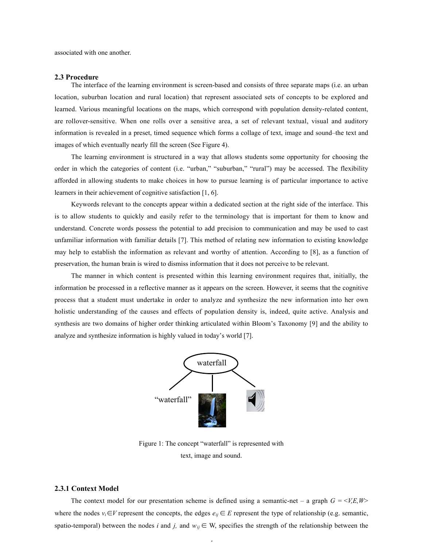associated with one another.

#### **2.3 Procedure**

The interface of the learning environment is screen-based and consists of three separate maps (i.e. an urban location, suburban location and rural location) that represent associated sets of concepts to be explored and learned. Various meaningful locations on the maps, which correspond with population density-related content, are rollover-sensitive. When one rolls over a sensitive area, a set of relevant textual, visual and auditory information is revealed in a preset, timed sequence which forms a collage of text, image and sound–the text and images of which eventually nearly fill the screen (See Figure 4).

The learning environment is structured in a way that allows students some opportunity for choosing the order in which the categories of content (i.e. "urban," "suburban," "rural") may be accessed. The flexibility afforded in allowing students to make choices in how to pursue learning is of particular importance to active learners in their achievement of cognitive satisfaction [1, 6].

Keywords relevant to the concepts appear within a dedicated section at the right side of the interface. This is to allow students to quickly and easily refer to the terminology that is important for them to know and understand. Concrete words possess the potential to add precision to communication and may be used to cast unfamiliar information with familiar details [7]. This method of relating new information to existing knowledge may help to establish the information as relevant and worthy of attention. According to [8], as a function of preservation, the human brain is wired to dismiss information that it does not perceive to be relevant.

The manner in which content is presented within this learning environment requires that, initially, the information be processed in a reflective manner as it appears on the screen. However, it seems that the cognitive process that a student must undertake in order to analyze and synthesize the new information into her own holistic understanding of the causes and effects of population density is, indeed, quite active. Analysis and synthesis are two domains of higher order thinking articulated within Bloom's Taxonomy [9] and the ability to analyze and synthesize information is highly valued in today's world [7].



Figure 1: The concept "waterfall" is represented with text, image and sound.

#### **2.3.1 Context Model**

The context model for our presentation scheme is defined using a semantic-net – a graph  $G = \langle V, E, W \rangle$ where the nodes  $v_i \in V$  represent the concepts, the edges  $e_{ij} \in E$  represent the type of relationship (e.g. semantic, spatio-temporal) between the nodes *i* and *j*, and  $w_{ij} \in W$ , specifies the strength of the relationship between the

 $\overline{a}$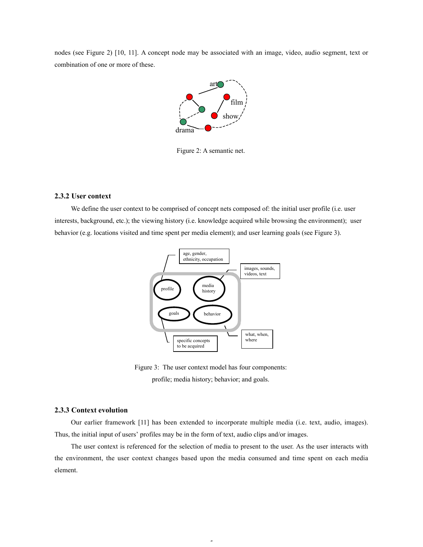nodes (see Figure 2) [10, 11]. A concept node may be associated with an image, video, audio segment, text or combination of one or more of these.



Figure 2: A semantic net.

#### **2.3.2 User context**

We define the user context to be comprised of concept nets composed of: the initial user profile (i.e. user interests, background, etc.); the viewing history (i.e. knowledge acquired while browsing the environment); user behavior (e.g. locations visited and time spent per media element); and user learning goals (see Figure 3).



Figure 3: The user context model has four components: profile; media history; behavior; and goals.

#### **2.3.3 Context evolution**

Our earlier framework [11] has been extended to incorporate multiple media (i.e. text, audio, images). Thus, the initial input of users' profiles may be in the form of text, audio clips and/or images.

The user context is referenced for the selection of media to present to the user. As the user interacts with the environment, the user context changes based upon the media consumed and time spent on each media element.

5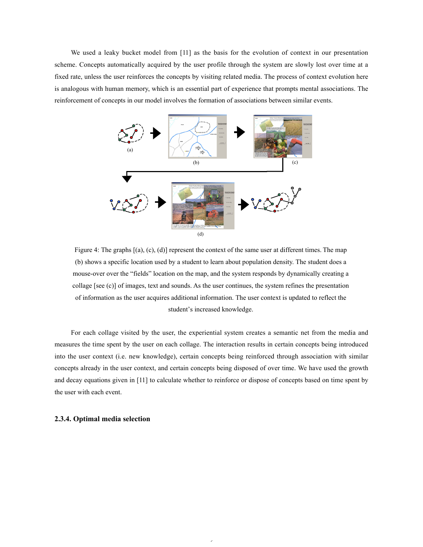We used a leaky bucket model from [11] as the basis for the evolution of context in our presentation scheme. Concepts automatically acquired by the user profile through the system are slowly lost over time at a fixed rate, unless the user reinforces the concepts by visiting related media. The process of context evolution here is analogous with human memory, which is an essential part of experience that prompts mental associations. The reinforcement of concepts in our model involves the formation of associations between similar events.



Figure 4: The graphs [(a), (c), (d)] represent the context of the same user at different times. The map (b) shows a specific location used by a student to learn about population density. The student does a mouse-over over the "fields" location on the map, and the system responds by dynamically creating a collage [see (c)] of images, text and sounds. As the user continues, the system refines the presentation of information as the user acquires additional information. The user context is updated to reflect the student's increased knowledge.

For each collage visited by the user, the experiential system creates a semantic net from the media and measures the time spent by the user on each collage. The interaction results in certain concepts being introduced into the user context (i.e. new knowledge), certain concepts being reinforced through association with similar concepts already in the user context, and certain concepts being disposed of over time. We have used the growth and decay equations given in [11] to calculate whether to reinforce or dispose of concepts based on time spent by the user with each event.

6

## **2.3.4. Optimal media selection**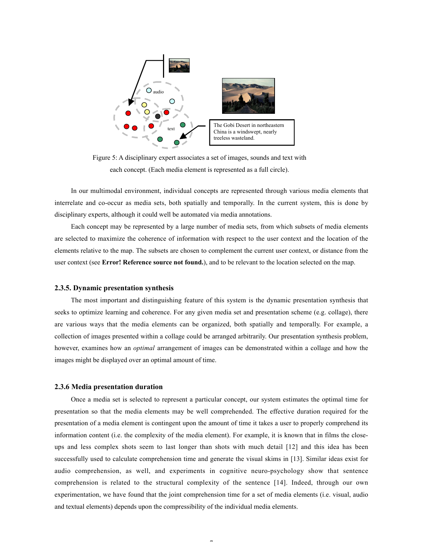

Figure 5: A disciplinary expert associates a set of images, sounds and text with each concept. (Each media element is represented as a full circle).

In our multimodal environment, individual concepts are represented through various media elements that interrelate and co-occur as media sets, both spatially and temporally. In the current system, this is done by disciplinary experts, although it could well be automated via media annotations.

Each concept may be represented by a large number of media sets, from which subsets of media elements are selected to maximize the coherence of information with respect to the user context and the location of the elements relative to the map. The subsets are chosen to complement the current user context, or distance from the user context (see **Error! Reference source not found.**), and to be relevant to the location selected on the map.

#### **2.3.5. Dynamic presentation synthesis**

The most important and distinguishing feature of this system is the dynamic presentation synthesis that seeks to optimize learning and coherence. For any given media set and presentation scheme (e.g. collage), there are various ways that the media elements can be organized, both spatially and temporally. For example, a collection of images presented within a collage could be arranged arbitrarily. Our presentation synthesis problem, however, examines how an *optimal* arrangement of images can be demonstrated within a collage and how the images might be displayed over an optimal amount of time.

#### **2.3.6 Media presentation duration**

Once a media set is selected to represent a particular concept, our system estimates the optimal time for presentation so that the media elements may be well comprehended. The effective duration required for the presentation of a media element is contingent upon the amount of time it takes a user to properly comprehend its information content (i.e. the complexity of the media element). For example, it is known that in films the closeups and less complex shots seem to last longer than shots with much detail [12] and this idea has been successfully used to calculate comprehension time and generate the visual skims in [13]. Similar ideas exist for audio comprehension, as well, and experiments in cognitive neuro-psychology show that sentence comprehension is related to the structural complexity of the sentence [14]. Indeed, through our own experimentation, we have found that the joint comprehension time for a set of media elements (i.e. visual, audio and textual elements) depends upon the compressibility of the individual media elements.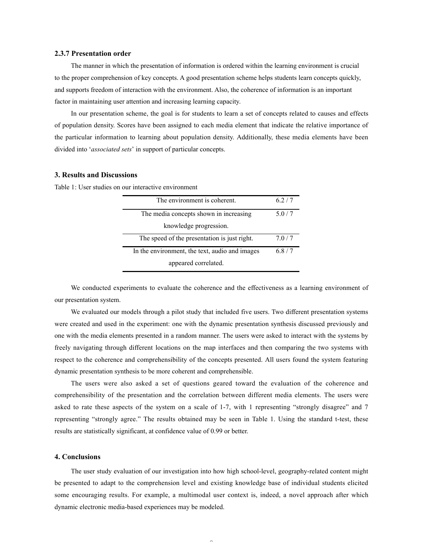#### **2.3.7 Presentation order**

The manner in which the presentation of information is ordered within the learning environment is crucial to the proper comprehension of key concepts. A good presentation scheme helps students learn concepts quickly, and supports freedom of interaction with the environment. Also, the coherence of information is an important factor in maintaining user attention and increasing learning capacity.

In our presentation scheme, the goal is for students to learn a set of concepts related to causes and effects of population density. Scores have been assigned to each media element that indicate the relative importance of the particular information to learning about population density. Additionally, these media elements have been divided into '*associated sets*' in support of particular concepts.

## **3. Results and Discussions**

Table 1: User studies on our interactive environment

| The environment is coherent.                   | 62/7  |
|------------------------------------------------|-------|
| The media concepts shown in increasing         | 5.0/7 |
| knowledge progression.                         |       |
| The speed of the presentation is just right.   | 7.0/7 |
| In the environment, the text, audio and images | 6.8/7 |
| appeared correlated.                           |       |

We conducted experiments to evaluate the coherence and the effectiveness as a learning environment of our presentation system.

We evaluated our models through a pilot study that included five users. Two different presentation systems were created and used in the experiment: one with the dynamic presentation synthesis discussed previously and one with the media elements presented in a random manner. The users were asked to interact with the systems by freely navigating through different locations on the map interfaces and then comparing the two systems with respect to the coherence and comprehensibility of the concepts presented. All users found the system featuring dynamic presentation synthesis to be more coherent and comprehensible.

The users were also asked a set of questions geared toward the evaluation of the coherence and comprehensibility of the presentation and the correlation between different media elements. The users were asked to rate these aspects of the system on a scale of 1-7, with 1 representing "strongly disagree" and 7 representing "strongly agree." The results obtained may be seen in Table 1. Using the standard t-test, these results are statistically significant, at confidence value of 0.99 or better.

#### **4. Conclusions**

The user study evaluation of our investigation into how high school-level, geography-related content might be presented to adapt to the comprehension level and existing knowledge base of individual students elicited some encouraging results. For example, a multimodal user context is, indeed, a novel approach after which dynamic electronic media-based experiences may be modeled.

 $\sim$